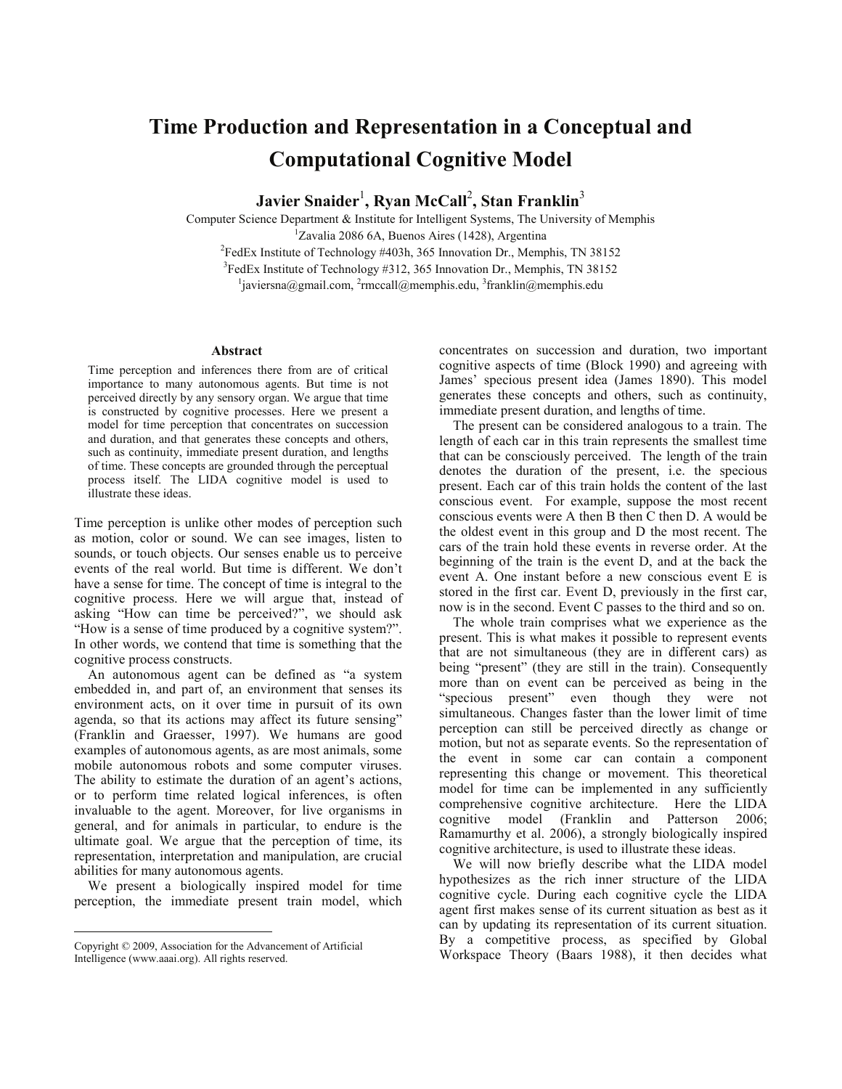## **Time Production and Representation in a Conceptual and Computational Cognitive Model**

 $J$ avier Snaider<sup>1</sup>, Ryan McCall<sup>2</sup>, Stan Franklin $^3$ 

Computer Science Department & Institute for Intelligent Systems, The University of Memphis 1  ${}^{1}Z$ avalia 2086 6A, Buenos Aires (1428), Argentina  ${}^{2}$ FedEx Institute of Technology #403h, 365 Innovation Dr., Memphis, TN 38152 <sup>3</sup>FedEx Institute of Technology #312, 365 Innovation Dr., Memphis, TN 38152 <sup>1</sup>javiersna@gmail.com, <sup>2</sup>rmccall@memphis.edu, <sup>3</sup>franklin@memphis.edu

## **Abstract**

Time perception and inferences there from are of critical importance to many autonomous agents. But time is not perceived directly by any sensory organ. We argue that time is constructed by cognitive processes. Here we present a model for time perception that concentrates on succession and duration, and that generates these concepts and others, such as continuity, immediate present duration, and lengths of time. These concepts are grounded through the perceptual process itself. The LIDA cognitive model is used to illustrate these ideas.

Time perception is unlike other modes of perception such as motion, color or sound. We can see images, listen to sounds, or touch objects. Our senses enable us to perceive events of the real world. But time is different. We don't have a sense for time. The concept of time is integral to the cognitive process. Here we will argue that, instead of asking "How can time be perceived?", we should ask "How is a sense of time produced by a cognitive system?". In other words, we contend that time is something that the cognitive process constructs.

 An autonomous agent can be defined as "a system embedded in, and part of, an environment that senses its environment acts, on it over time in pursuit of its own agenda, so that its actions may affect its future sensing" (Franklin and Graesser, 1997). We humans are good examples of autonomous agents, as are most animals, some mobile autonomous robots and some computer viruses. The ability to estimate the duration of an agent's actions, or to perform time related logical inferences, is often invaluable to the agent. Moreover, for live organisms in general, and for animals in particular, to endure is the ultimate goal. We argue that the perception of time, its representation, interpretation and manipulation, are crucial abilities for many autonomous agents.

 We present a biologically inspired model for time perception, the immediate present train model, which

Copyright © 2009, Association for the Advancement of Artificial Intelligence (www.aaai.org). All rights reserved.

1

concentrates on succession and duration, two important cognitive aspects of time (Block 1990) and agreeing with James' specious present idea (James 1890). This model generates these concepts and others, such as continuity, immediate present duration, and lengths of time.

 The present can be considered analogous to a train. The length of each car in this train represents the smallest time that can be consciously perceived. The length of the train denotes the duration of the present, i.e. the specious present. Each car of this train holds the content of the last conscious event. For example, suppose the most recent conscious events were A then B then C then D. A would be the oldest event in this group and D the most recent. The cars of the train hold these events in reverse order. At the beginning of the train is the event D, and at the back the event A. One instant before a new conscious event E is stored in the first car. Event D, previously in the first car, now is in the second. Event C passes to the third and so on.

 The whole train comprises what we experience as the present. This is what makes it possible to represent events that are not simultaneous (they are in different cars) as being "present" (they are still in the train). Consequently more than on event can be perceived as being in the "specious present" even though they were not simultaneous. Changes faster than the lower limit of time perception can still be perceived directly as change or motion, but not as separate events. So the representation of the event in some car can contain a component representing this change or movement. This theoretical model for time can be implemented in any sufficiently comprehensive cognitive architecture. Here the LIDA cognitive model (Franklin and Patterson 2006; Ramamurthy et al. 2006), a strongly biologically inspired cognitive architecture, is used to illustrate these ideas.

 We will now briefly describe what the LIDA model hypothesizes as the rich inner structure of the LIDA cognitive cycle. During each cognitive cycle the LIDA agent first makes sense of its current situation as best as it can by updating its representation of its current situation. By a competitive process, as specified by Global Workspace Theory (Baars 1988), it then decides what